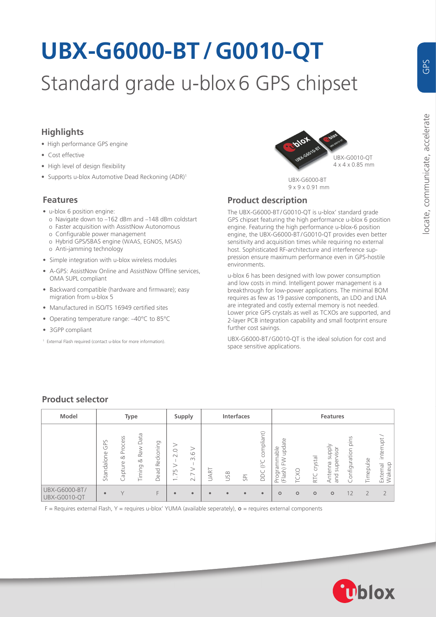# **UBX-G6000-BT/G0010-QT**

# Standard grade u-blox 6 GPS chipset

# **Highlights**

- High performance GPS engine
- Cost effective
- High level of design flexibility
- Supports u-blox Automotive Dead Reckoning (ADR)<sup>1</sup>

## **Features**

- u-blox 6 position engine:
	- o Navigate down to *–*162 dBm and *–*148 dBm coldstart o Faster acquisition with AssistNow Autonomous
	- o Configurable power management
	- o Hybrid GPS/SBAS engine (WAAS, EGNOS, MSAS)
	- o Anti-jamming technology
- Simple integration with u-blox wireless modules
- A-GPS: AssistNow Online and AssistNow Offline services, OMA SUPL compliant
- Backward compatible (hardware and firmware); easy migration from u-blox 5
- Manufactured in ISO/TS 16949 certified sites
- Operating temperature range: *–*40°C to 85°C
- 3GPP compliant
- 1 External Flash required (contact u-blox for more information).



UBX-G6000-BT 9 x 9 x 0.91 mm

# **Product description**

The UBX-G6000-BT /G0010-QT is u-blox' standard grade GPS chipset featuring the high performance u-blox 6 position engine. Featuring the high performance u-blox-6 position engine, the UBX-G6000-BT /G0010-QT provides even better sensitivity and acquisition times while requiring no external host. Sophisticated RF-architecture and interference suppression ensure maximum performance even in GPS-hostile environments.

u-blox 6 has been designed with low power consumption and low costs in mind. Intelligent power management is a breakthrough for low-power applications. The minimal BOM requires as few as 19 passive components, an LDO and LNA are integrated and costly external memory is not needed. Lower price GPS crystals as well as TCXOs are supported, and 2-layer PCB integration capability and small footprint ensure further cost savings.

UBX-G6000-BT /G0010-QT is the ideal solution for cost and space sensitive applications.

# **Product selector**

| Model                                | Type              |                                                  |                                               |                   | Supply                                                                 | <b>Interfaces</b>                                              |           |           | Features       |                                         |                                                                                                      |         |                |                                        |                       |           |                                          |
|--------------------------------------|-------------------|--------------------------------------------------|-----------------------------------------------|-------------------|------------------------------------------------------------------------|----------------------------------------------------------------|-----------|-----------|----------------|-----------------------------------------|------------------------------------------------------------------------------------------------------|---------|----------------|----------------------------------------|-----------------------|-----------|------------------------------------------|
|                                      | GPS<br>Standalone | rocess<br>$\overline{\mathbf{r}}$<br>∞<br>apture | Data<br>Raw<br>$\propto$<br>iming<br>$\vdash$ | Reckoning<br>Dead | 2.0<br>><br>75<br>$\overline{\phantom{a}}$<br>$\overline{\phantom{0}}$ | $\circ$<br>$\infty$<br>৴<br>$\overline{\phantom{0}}$<br>$\sim$ | ART<br>⋍  | USB       | $\overline{S}$ | compliant)<br>$($ <sup>2</sup> C<br>DDC | $\circ$<br>upda <sup>-</sup><br>$ab$ le<br>ε<br>$\overline{ }$<br>≿<br>$\sigma$<br>(Flash)<br>Progra | TCXO    | crystal<br>RTC | Viddns<br>supervisor<br>Antenna<br>and | pins<br>Configuration | Timepulse | interrupt<br>akeup<br>External<br>$\leq$ |
| UBX-G6000-BT/<br><b>UBX-G0010-QT</b> | $\bullet$         | $\vee$                                           |                                               | F                 | $\bullet$                                                              | $\bullet$                                                      | $\bullet$ | $\bullet$ | $\bullet$      | $\bullet$                               | $\circ$                                                                                              | $\circ$ | $\circ$        | $\circ$                                | 12                    |           |                                          |

 $F =$  Requires external Flash, Y = requires u-blox' YUMA (available seperately),  $\mathbf{o}$  = requires external components